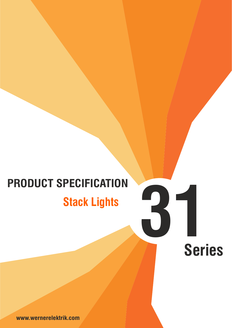# **Stack Lights PRODUCT SPECIFICATION 31 Series**

**www.wernerelektrik.com**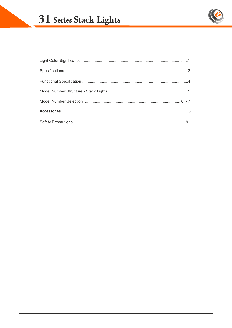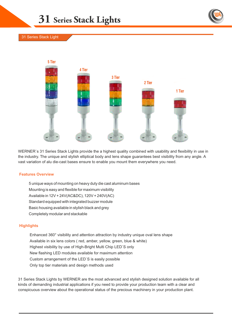



WERNER`s 31 Series Stack Lights provide the a highest quality combined with usability and flexibility in use in the industry. The unique and stylish elliptical body and lens shape guarantees best visibility from any angle. A vast variation of alu die-cast bases ensure to enable you mount them everywhere you need.

### **Features Overview**

5 unique ways of mounting on heavy duty die cast aluminum bases Mounting is easy and flexible for maximum visibility Available in 12V + 24V(AC&DC), 120V + 240V(AC) Standard equipped with integrated buzzer module Basic housing available in stylish black and grey **Completely modular and stackable** 

# **Highlights**

Enhanced 360° visibility and attention attraction by industry unique oval lens shape Available in six lens colors ( red, amber, yellow, green, blue & white) Highest visibility by use of High-Bright Multi Chip LED`S only New flashing LED modules available for maximum attention Custom arrangement of the LED'S is easily possible Only top tier materials and design methods used

31 Series Stack Lights by WERNER are the most advanced and stylish designed solution available for all kinds of demanding industrial applications if you need to provide your production team with a clear and conspicuous overview about the operational status of the precious machinery in your production plant.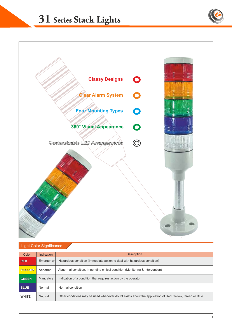





# Light Color Significance

| Color         | <b>Indication</b> | <b>Description</b>                                                                                     |
|---------------|-------------------|--------------------------------------------------------------------------------------------------------|
| <b>RED</b>    | Emergency         | Hazardous condition (Immediate action to deal with hazardous condition)                                |
| <b>YELLOW</b> | Abnormal          | Abnormal condition, Impending critical condition (Monitoring & Intervention)                           |
| <b>GREEN</b>  | Mandatory         | Indication of a condition that requires action by the operator                                         |
| <b>BLUE</b>   | Normal            | Normal condition                                                                                       |
| <b>WHITE</b>  | Neutral           | Other conditions may be used whenever doubt exists about the application of Red, Yellow, Green or Blue |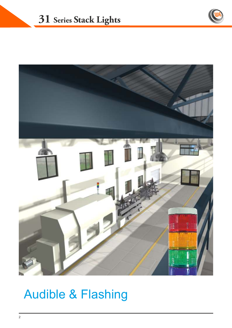



# Audible & Flashing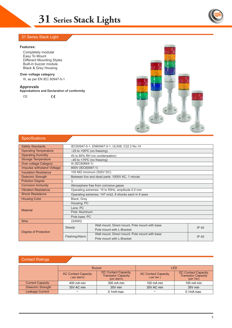#### **Features:**

Completely modular Easy To Mount Different Mounting Styles Built-in buzzer module Black & Grey Housing

#### **Over voltage category**

III, as per EN IEC 60947-5-1

#### **Approvals**

## **Approbations and Declaration of conformity**  $C \in$

**CE** 



# **Specifications**

| <b>Safety Standards</b>      | IEC60947-5-1, EN60947-5-1, UL508, C22.2 No.14         |                                                 |              |  |
|------------------------------|-------------------------------------------------------|-------------------------------------------------|--------------|--|
| <b>Operating Temperature</b> |                                                       | $-25$ to $+55$ °C (no freezing)                 |              |  |
| <b>Operating Humidity</b>    |                                                       | 45 to 85% RH (no condensation)                  |              |  |
| <b>Storage Temperature</b>   |                                                       | $-40$ to $+75$ °C (no freezing)                 |              |  |
| <b>Over voltage Category</b> | III (IEC60664-1)                                      |                                                 |              |  |
| Impulse withstand Voltage    | 800V (IEC60947-1)                                     |                                                 |              |  |
| <b>Insulation Resistance</b> |                                                       | 100 MΩ minimum (500V DC)                        |              |  |
| <b>Dielectric Strength</b>   |                                                       | Between live and dead parts: 1000V AC, 1 minute |              |  |
| <b>Pollution Degree</b>      | 3                                                     |                                                 |              |  |
| <b>Corrosion Immunity</b>    | Atmosphere free from corrosive gases                  |                                                 |              |  |
| <b>Vibration Resistance</b>  | Operating extremes: 10 to 55Hz, amplitude 0.5 mm      |                                                 |              |  |
| <b>Shock Resistance</b>      | Operating extremes: 147 m/s2, 6 shocks each in 6 axes |                                                 |              |  |
| <b>Housing Color</b>         | Black, Gray                                           |                                                 |              |  |
|                              | Housing: PC                                           |                                                 |              |  |
|                              | Lens: PC                                              |                                                 |              |  |
| <b>Material</b>              | Pole: Aluminum                                        |                                                 |              |  |
|                              | Pole base: PC                                         |                                                 |              |  |
| <b>Wire</b>                  | 22AWG                                                 |                                                 |              |  |
|                              |                                                       | Wall mount, Direct mount, Pole mount with base  |              |  |
|                              | Steady                                                | Pole mount with L-Bracket                       | <b>IP 40</b> |  |
| Degree of Protection         |                                                       | Wall mount, Direct mount, Pole mount with base  |              |  |
|                              | Flashing/Alarm                                        | Pole mount with L-Bracket                       | IP 40        |  |
|                              |                                                       |                                                 |              |  |

### Contact Ratings

|                            | <b>Buzzer</b>                             |                                                                   | LED                                      |                                                                  |  |
|----------------------------|-------------------------------------------|-------------------------------------------------------------------|------------------------------------------|------------------------------------------------------------------|--|
|                            | <b>AC Contact Capacity</b><br>(per alarm) | DC Contact Capacity,<br><b>Transistor Capacity</b><br>(per alarm) | <b>AC Contact Capacity</b><br>(per tier) | DC Contact Capacity,<br><b>Transistor Capacity</b><br>(per Tier) |  |
| <b>Current Capacity</b>    | 400 mA min                                | 300 mA min                                                        | 100 mA min                               | 100 mA min                                                       |  |
| <b>Dielectric Strength</b> | 35V AC min                                | 35V min                                                           | 35V AC min                               | 35V min                                                          |  |
| Leakage Current            | —                                         | $0.1mAmax$ .                                                      |                                          | 0.1 <sub>m</sub> A max.                                          |  |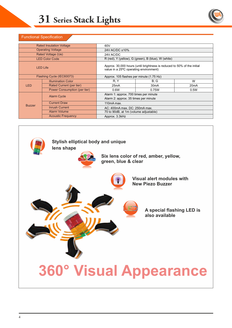

## Functional Specification

|                     | <b>Rated Insulation Voltage</b> | 60V                                                                                                               |                                                     |      |  |
|---------------------|---------------------------------|-------------------------------------------------------------------------------------------------------------------|-----------------------------------------------------|------|--|
|                     | <b>Operating Voltage</b>        | 24V AC/DC ±10%                                                                                                    |                                                     |      |  |
|                     | Rated Voltage (Ue)              | 24V AC/DC                                                                                                         |                                                     |      |  |
|                     | <b>LED Color Code</b>           |                                                                                                                   | R (red), Y (yellow), G (green), B (blue), W (white) |      |  |
|                     | <b>LED Life</b>                 | Approx. 30,000 hours (until brightness is reduced to 50% of the initial<br>value in a 25°C operating environment) |                                                     |      |  |
|                     | Flashing Cycle (IEC60073)       | Approx. 105 flashes per minute (1.75 Hz)                                                                          |                                                     |      |  |
|                     | <b>Illumination Color</b>       | R.Y                                                                                                               | B, G                                                | W    |  |
| <b>LED</b>          | Rated Current (per tier)        | 25mA                                                                                                              | 30mA                                                | 20mA |  |
|                     | Power Consumption (per tier)    | 0.6W                                                                                                              | 0.75W                                               | 0.5W |  |
| <b>Alarm Cycle</b>  |                                 | Alarm 1: approx. 700 times per minute<br>Alarm 2: approx. 35 times per minute                                     |                                                     |      |  |
| <b>Current Draw</b> |                                 | 110mA max.                                                                                                        |                                                     |      |  |
| <b>Buzzer</b>       | <b>Inrush Current</b>           | AC: 400mA max. DC: 250mA max.                                                                                     |                                                     |      |  |
|                     | <b>Alarm Volume</b>             | 70 to 90dB, at 1m (volume adjustable)                                                                             |                                                     |      |  |
|                     | <b>Acoustic Frequency</b>       | Approx. 3.3kHz                                                                                                    |                                                     |      |  |

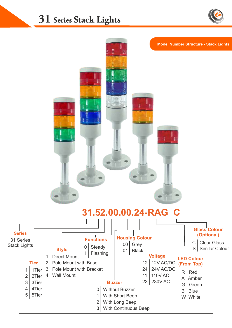

**Model Number Structure - Stack Lights**

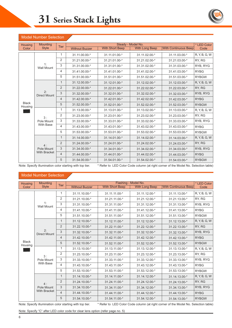

# Model Number Selection

| <b>Housing</b>          | <b>Mounting</b>           |                | Steady - Model No.    |                                                                            |                       | * LED Color                                                                                   |               |
|-------------------------|---------------------------|----------------|-----------------------|----------------------------------------------------------------------------|-----------------------|-----------------------------------------------------------------------------------------------|---------------|
| Color                   | <b>Style</b>              | <b>Tier</b>    | <b>Without Buzzer</b> | <b>With Short Beep</b>                                                     | <b>With Long Beep</b> | With Continuous Beep                                                                          | Code          |
|                         |                           | 1              | 31.11.00.00-*         | 31.11.01.00-*                                                              | 31.11.02.00-*         | 31.11.03.00-*                                                                                 | R, Y, B, G, W |
|                         |                           | 2              | 31.21.00.00-*         | 31.21.01.00-*                                                              | 31.21.02.00-*         | 31.21.03.00-*                                                                                 | RY, RG        |
|                         | 1:<br><b>Wall Mount</b>   | 3              | 31.31.00.00-*         | 31.31.01.00-*                                                              | 31.31.02.00-*         | 31.31.03.00-*                                                                                 | RYB, RYG      |
|                         |                           | $\overline{4}$ | 31.41.00.00-*         | 31.41.01.00-*                                                              | 31.41.02.00-*         | 31.41.03.00-*                                                                                 | <b>RYBG</b>   |
|                         |                           | 5              | 31.51.00.00-*         | 31.51.01.00-*                                                              | 31.51.02.00-*         | 31.51.03.00-*                                                                                 | <b>RYBGW</b>  |
|                         |                           | $\mathbf{1}$   | 31.12.00.00-*         | 31.12.01.00-*                                                              | 31.12.02.00-*         | 31.12.03.00-*                                                                                 | R, Y, B, G, W |
|                         |                           | 2              | 31.22.00.00-*         | 31.22.01.00-*                                                              | 31.22.02.00-*         | 31.22.03.00-*                                                                                 | RY, RG        |
|                         | 2:<br><b>Direct Mount</b> | 3              | 31.32.00.00-*         | 31.32.01.00-*                                                              | 31.32.02.00-*         | 31.32.03.00-*                                                                                 | RYB, RYG      |
|                         |                           | 4              | 31.42.00.00-*         | 31.42.01.00-*                                                              | 31.42.02.00-*         | 31.42.03.00-*                                                                                 | <b>RYBG</b>   |
| <b>Black</b><br>Housing |                           | 5              | 31.52.00.00-*         | 31.52.01.00-*                                                              | 31.52.02.00-*         | 31.52.03.00-*                                                                                 | <b>RYBGW</b>  |
|                         |                           | 1              | 31.13.00.00-*         | 31.13.01.00-*                                                              | 31.13.02.00-*         | 31.13.03.00-*                                                                                 | R, Y, B, G, W |
|                         | 3:                        | 2              | 31.23.00.00-*         | 31.23.01.00-*                                                              | 31.23.02.00-*         | 31.23.03.00-*                                                                                 | RY, RG        |
|                         | Pole Mount                | 3              | 31.33.00.00-*         | 31.33.01.00-*                                                              | 31.33.02.00-*         | 31.33.03.00-*                                                                                 | RYB, RYG      |
|                         | <b>With Base</b>          | 4              | 31.43.00.00-*         | 31.43.01.00-*                                                              | 31.43.02.00-*         | 31.43.03.00-*                                                                                 | <b>RYBG</b>   |
|                         |                           | 5              | 31.53.00.00-*         | 31.53.01.00-*                                                              | 31.53.02.00-*         | 31.53.03.00-*                                                                                 | <b>RYBGW</b>  |
|                         |                           | $\mathbf{1}$   | 31.14.00.00-*         | 31.14.01.00-*                                                              | 31.14.02.00-*         | 31.14.03.00-*                                                                                 | R, Y, B, G, W |
|                         | 4:                        | 2              | 31.24.00.00-*         | 31.24.01.00-*                                                              | 31.24.02.00-*         | 31.24.03.00-*                                                                                 | RY, RG        |
|                         | Pole Mount                | 3              | 31.34.00.00-*         | 31.34.01.00-*                                                              | 31.34.02.00-*         | 31.34.03.00-*                                                                                 | RYB, RYG      |
|                         | <b>With Bracket</b>       | $\overline{4}$ | 31.44.00.00-*         | 31.44.01.00-*                                                              | 31.44.02.00-*         | 31.44.03.00-*                                                                                 | <b>RYBG</b>   |
|                         |                           | 5              | 31.54.00.00-*         | 31.54.01.00-*<br>$*$ Definite the D.O. in Order and the $\ell$ -th deliver | 31.54.02.00-*         | 31.54.03.00-*<br>$\mathcal{L}(1)$ . And it is the $\mathcal{L}(1)$ such that $\mathcal{L}(1)$ | <b>RYBGW</b>  |

#### Note: Specify illumination color starting with top tier.

\* Refer to LED Color Code column (at right corner of the Model No. Selection table)

# Model Number Selection

| Housing                 | <b>Mounting</b>           |                |                       | Flashing - Model No.   |                       |                             | * LED Color   |
|-------------------------|---------------------------|----------------|-----------------------|------------------------|-----------------------|-----------------------------|---------------|
| Color                   | <b>Style</b>              | <b>Tier</b>    | <b>Without Buzzer</b> | <b>With Short Beep</b> | <b>With Long Beep</b> | <b>With Continuous Beep</b> | Code          |
|                         |                           | 1              | 31.11.10.00-*         | 31.11.11.00-*          | 31.11.12.00-*         | 31.11.13.00-*               | R, Y, B, G, W |
|                         |                           | 2              | 31.21.10.00-*         | 31.21.11.00-*          | 31.21.12.00-*         | 31.21.13.00-*               | RY, RG        |
|                         | 1:<br><b>Wall Mount</b>   | 3              | 31.31.10.00-*         | 31.31.11.00-*          | 31.31.12.00-*         | 31.31.13.00-*               | RYB, RYG      |
|                         |                           | 4              | 31.41.10.00-*         | 31.41.11.00-*          | 31.41.12.00-*         | 31.41.13.00-*               | <b>RYBG</b>   |
|                         |                           | 5              | 31.51.10.00-*         | 31.51.11.00-*          | 31.51.12.00-*         | 31.51.13.00-*               | <b>RYBGW</b>  |
|                         |                           | $\mathbf{1}$   | 31.12.10.00-*         | 31.12.11.00-*          | 31.12.12.00-*         | 31.12.13.00-*               | R, Y, B, G, W |
|                         |                           | $\overline{2}$ | 31.22.10.00-*         | 31.22.11.00-*          | 31.22.12.00-*         | 31.22.13.00-*               | RY, RG        |
|                         | 2:<br><b>Direct Mount</b> | 3              | 31.32.10.00-*         | 31.32.11.00-*          | 31.32.12.00-*         | 31.32.13.00-*               | RYB, RYG      |
|                         |                           | $\overline{4}$ | 31.42.10.00-*         | 31.42.11.00-*          | 31.42.12.00-*         | 31.42.13.00-*               | <b>RYBG</b>   |
| <b>Black</b><br>Housing |                           | 5              | 31.52.10.00-*         | 31.52.11.00-*          | 31.52.12.00-*         | 31.52.13.00-*               | <b>RYBGW</b>  |
|                         | 3:<br>Pole Mount          | 1              | 31.13.10.00-*         | 31.13.11.00-*          | 31.13.12.00-*         | 31.13.13.00-*               | R, Y, B, G, W |
|                         |                           | 2              | 31.23.10.00-*         | 31.23.11.00-*          | 31.23.12.00-*         | 31.23.13.00-*               | RY, RG        |
|                         |                           | 3              | 31.33.10.00-*         | 31.33.11.00-*          | 31.33.12.00-*         | 31.33.13.00-*               | RYB, RYG      |
|                         | <b>With Base</b>          | 4              | 31.43.10.00-*         | 31.43.11.00-*          | 31.43.12.00-*         | 31.43.13.00-*               | <b>RYBG</b>   |
|                         |                           | 5              | 31.53.10.00-*         | 31.53.11.00-*          | 31.53.12.00-*         | 31.53.13.00-*               | <b>RYBGW</b>  |
|                         |                           | $\mathbf{1}$   | 31.14.10.00-*         | 31.14.11.00-*          | 31.14.12.00-*         | 31.14.13.00-*               | R, Y, B, G, W |
|                         | 4:                        | 2              | 31.24.10.00-*         | 31.24.11.00-*          | 31.24.12.00-*         | 31.24.13.00-*               | RY, RG        |
|                         | Pole Mount                | 3              | 31.34.10.00-*         | 31.34.11.00-*          | 31.34.12.00-*         | 31.34.13.00-*               | RYB, RYG      |
|                         | <b>With Bracket</b>       | $\overline{4}$ | 31.44.10.00-*         | 31.44.11.00-*          | 31.44.12.00-*         | 31.44.13.00-*               | <b>RYBG</b>   |
|                         |                           | 5              | 31.54.10.00-*         | 31.54.11.00-*          | 31.54.12.00-*         | 31.54.13.00-*               | <b>RYBGW</b>  |

Note: Specify illumination color starting with top tier.

\* Refer to LED Color Code column (at right corner of the Model No. Selection table)

Note: Specify "C" after LED color code for clear lens option (refer page no. 5)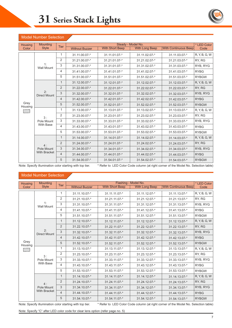

# Model Number Selection

| <b>Housing</b>  | <b>Mounting</b><br><b>Tier</b> |                | Steady - Model No.    |                        |                       |                             | * LED Color   |
|-----------------|--------------------------------|----------------|-----------------------|------------------------|-----------------------|-----------------------------|---------------|
| Color           | <b>Style</b>                   |                | <b>Without Buzzer</b> | <b>With Short Beep</b> | <b>With Long Beep</b> | <b>With Continuous Beep</b> | Code          |
|                 |                                | 1              | 31.11.00.07-*         | 31.11.01.07-*          | 31.11.02.07-*         | 31.11.03.07-*               | R, Y, B, G, W |
|                 |                                | 2              | 31.21.00.07-*         | 31.21.01.07-*          | 31.21.02.07-*         | 31.21.03.07-*               | RY, RG        |
|                 | 1:<br><b>Wall Mount</b>        | 3              | 31.31.00.07-*         | 31.31.01.07-*          | 31.31.02.07-*         | 31.31.03.07-*               | RYB, RYG      |
|                 |                                | 4              | 31.41.00.07-*         | 31.41.01.07-*          | 31.41.02.07-*         | 31.41.03.07-*               | <b>RYBG</b>   |
|                 |                                | 5              | 31.51.00.07-*         | 31.51.01.07-*          | 31.51.02.07-*         | 31.51.03.07-*               | <b>RYBGW</b>  |
|                 |                                | $\mathbf{1}$   | 31.12.00.07-*         | 31.12.01.07-*          | 31.12.02.07-*         | 31.12.03.07-*               | R, Y, B, G, W |
|                 |                                | 2              | 31.22.00.07-*         | 31.22.01.07-*          | 31.22.02.07-*         | 31.22.03.07-*               | RY, RG        |
|                 | 2:<br><b>Direct Mount</b>      | 3              | 31.32.00.07-*         | 31.32.01.07-*          | 31.32.02.07-*         | 31.32.03.07-*               | RYB, RYG      |
|                 |                                | 4              | 31.42.00.07-*         | 31.42.01.07-*          | 31.42.02.07-*         | 31.42.03.07-*               | <b>RYBG</b>   |
| Grey<br>Housing |                                | 5              | 31.52.00.07-*         | 31.52.01.07-*          | 31.52.02.07-*         | 31.52.03.07-*               | <b>RYBGW</b>  |
|                 | 3:<br>Pole Mount               | 1              | 31.13.00.07-*         | 31.13.01.07-*          | 31.13.02.07-*         | 31.13.03.07-*               | R, Y, B, G, W |
|                 |                                | 2              | 31.23.00.07-*         | 31.23.01.07-*          | 31.23.02.07-*         | 31.23.03.07-*               | RY, RG        |
|                 |                                | 3              | 31.33.00.07-*         | 31.33.01.07-*          | 31.33.02.07-*         | 31.33.03.07-*               | RYB, RYG      |
|                 | With Base                      | 4              | 31.43.00.07-*         | 31.43.01.07-*          | 31.43.02.07-*         | 31.43.03.07-*               | <b>RYBG</b>   |
|                 |                                | 5              | 31.53.00.07-*         | 31.53.01.07-*          | 31.53.02.07-*         | 31.53.03.07-*               | <b>RYBGW</b>  |
|                 |                                | $\mathbf{1}$   | 31.14.00.07-*         | 31.14.01.07-*          | 31.14.02.07-*         | 31.14.03.07-*               | R, Y, B, G, W |
|                 | 4:                             | 2              | 31.24.00.07-*         | 31.24.01.07-*          | 31.24.02.07-*         | 31.24.03.07-*               | RY, RG        |
|                 | Pole Mount                     | 3              | 31.34.00.07-*         | 31.34.01.07-*          | 31.34.02.07-*         | 31.34.03.07-*               | RYB, RYG      |
|                 | With Bracket                   | $\overline{4}$ | 31.44.00.07-*         | 31.44.01.07-*          | 31.44.02.07-*         | 31.44.03.07-*               | <b>RYBG</b>   |
|                 |                                | 5              | 31.54.00.07-*         | 31.54.01.07-*          | 31.54.02.07-*         | 31.54.03.07-*               | <b>RYBGW</b>  |

Note: Specify illumination color starting with top tier.

\* Refer to LED Color Code column (at right corner of the Model No. Selection table)

### Model Number Selection

| Housing         | <b>Mounting</b>           |                |                       |                        | Flashing - Model No.  |                             | * LED Color   |
|-----------------|---------------------------|----------------|-----------------------|------------------------|-----------------------|-----------------------------|---------------|
| Color           | <b>Style</b>              | <b>Tier</b>    | <b>Without Buzzer</b> | <b>With Short Beep</b> | <b>With Long Beep</b> | <b>With Continuous Beep</b> | Code          |
|                 |                           | 1              | 31.11.10.07-*         | 31.11.11.07-*          | 31.11.12.07-*         | 31.11.13.07-*               | R, Y, B, G, W |
|                 |                           | 2              | 31.21.10.07-*         | 31.21.11.07-*          | 31.21.12.07-*         | 31.21.13.07-*               | RY, RG        |
|                 | 1:<br><b>Wall Mount</b>   | 3              | 31.31.10.07-*         | 31.31.11.07-*          | 31.31.12.07-*         | 31.31.13.07-*               | RYB, RYG      |
|                 |                           | 4              | 31.41.10.07-*         | 31.41.11.07-*          | 31.41.12.07-*         | 31.41.13.07-*               | <b>RYBG</b>   |
|                 |                           | 5              | 31.51.10.07-*         | 31.51.11.07-*          | 31.51.12.07-*         | 31.51.13.07-*               | <b>RYBGW</b>  |
|                 |                           | $\mathbf{1}$   | 31.12.10.07-*         | 31.12.11.07-*          | 31.12.12.07-*         | 31.12.13.07-*               | R, Y, B, G, W |
|                 |                           | 2              | 31.22.10.07-*         | 31.22.11.07-*          | 31.22.12.07-*         | 31.22.13.07-*               | RY, RG        |
|                 | 2:<br><b>Direct Mount</b> | 3              | 31.32.10.07-*         | 31.32.11.07-*          | 31.32.12.07-*         | 31.32.13.07-*               | RYB, RYG      |
|                 |                           | $\overline{4}$ | 31.42.10.07-*         | 31.42.11.07-*          | 31.42.12.07-*         | 31.42.13.07-*               | <b>RYBG</b>   |
| Grey<br>Housing |                           | 5              | 31.52.10.07-*         | 31.52.11.07-*          | 31.52.12.07-*         | 31.52.13.07-*               | <b>RYBGW</b>  |
|                 |                           | 1              | 31.13.10.07-*         | 31.13.11.07-*          | 31.13.12.07-*         | 31.13.13.07-*               | R, Y, B, G, W |
|                 | 3:                        | 2              | 31.23.10.07-*         | 31.23.11.07-*          | 31.23.12.07-*         | 31.23.13.07-*               | RY, RG        |
|                 | Pole Mount                | 3              | 31.33.10.07-*         | 31.33.11.07-*          | 31.33.12.07-*         | 31.33.13.07-*               | RYB, RYG      |
|                 | <b>With Base</b>          | 4              | 31.43.10.07-*         | 31.43.11.07-*          | 31.43.12.07-*         | 31.43.13.07-*               | <b>RYBG</b>   |
|                 |                           | 5              | 31.53.10.07-*         | 31.53.11.07-*          | 31.53.12.07-*         | 31.53.13.07-*               | <b>RYBGW</b>  |
|                 |                           | $\mathbf{1}$   | 31.14.10.07-*         | 31.14.11.07-*          | 31.14.12.07-*         | 31.14.13.07-*               | R, Y, B, G, W |
|                 | 4:                        | 2              | 31.24.10.07-*         | 31.24.11.07-*          | 31.24.12.07-*         | 31.24.13.07-*               | RY, RG        |
|                 | Pole Mount                | 3              | 31.34.10.07-*         | 31.34.11.07-*          | 31.34.12.07-*         | 31.34.13.07-*               | RYB, RYG      |
|                 | <b>With Bracket</b>       | $\overline{4}$ | 31.44.10.07-*         | 31.44.11.07-*          | 31.44.12.07-*         | 31.44.13.07-*               | <b>RYBG</b>   |
|                 |                           | 5              | 31.54.10.07-*         | 31.54.11.07-*          | 31.54.12.07-*         | 31.54.13.07-*               | <b>RYBGW</b>  |

\* Refer to LED Color Code column (at right corner of the Model No. Selection table) Note: Specify illumination color starting with top tier.

Note: Specify "C" after LED color code for clear lens option (refer page no. 5)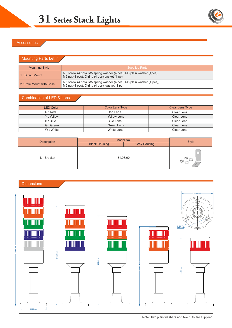# Accessories

| <b>Mounting Parts Let in</b> |  |
|------------------------------|--|

| <b>Mounting Style</b>    | <b>Supplied Parts</b>                                                                                                 |
|--------------------------|-----------------------------------------------------------------------------------------------------------------------|
| 1 : Direct Mount         | M5 screw (4 pcs), M5 spring washer (4 pcs), M5 plain washer (4 pcs),<br>M5 nut (4 pcs), O-ring (4 pcs), gasket (1 pc) |
| 2 : Pole Mount with Base | M5 screw (4 pcs), M5 spring washer (4 pcs), M5 plain washer (4 pcs),<br>M5 nut (4 pcs), O-ring (4 pcs), gasket (1 pc) |

# Combination of LED & Lens

| <b>LED Color</b> | Color Lens Type | <b>Clear Lens Type</b> |
|------------------|-----------------|------------------------|
|                  |                 |                        |
| $R:$ Red         | Red Lens        | Clear Lens             |
| Y: Yellow        | Yellow Lens     | <b>Clear Lens</b>      |
| B: Blue          | Blue Lens       | Clear Lens             |
| G: Green         | Green Lens      | <b>Clear Lens</b>      |
| W: White         | White Lens      | Clear Lens             |

| Description | Model No.            |                     | <b>Style</b> |
|-------------|----------------------|---------------------|--------------|
|             | <b>Black Housing</b> | <b>Grey Housing</b> |              |
| L - Bracket |                      | 31.08.00            |              |

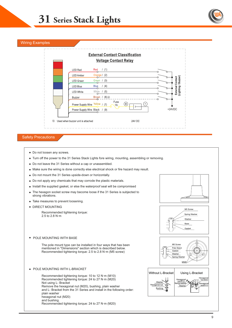Wiring Examples



#### Safety Precautions

- Do not loosen any screws.
- Turn off the power to the 31 Series Stack Lights fore wiring, mounting, assembling or removing.
- Do not leave the 31 Series without a cap or unassembled.
- Make sure the wiring is done correctly else electrical shock or fire hazard may result.
- Do not mount the 31 Series upside-down or horizontally.
- Do not apply any chemicals that may corrode the plastic materials.
- Install the supplied gasket, or else the waterproof seal will be compromised
- The hexagon socket screw may become loose if the 31 Series is subjected to  $\bullet$ strong vibrations.
- $\bullet$ Take measures to prevent loosening.
- DIRECT MOUNTING

Recommended tightening torque: 2.5 to 2.8 N·m

• POLE MOUNTING WITH BASE

The pole mount type can be installed in four ways that has been mentioned in "Dimensions" section which is described below. Recommended tightening torque: 2.5 to 2.8 N·m (M5 screw)

**• POLE MOUNTING WITH L-BRACKET** 

Recommended tightening torque: 10 to 12 N·m (M10) Recommended tightening torque: 24 to 27 N·m (M20) Not using L- Bracket Remove the hexagonal nut (M20), bushing, plain washer and L- Bracket from the 31 Series and install in the following order: plain washer hexagonal nut (M20) and bushing. Recommended tightening torque: 24 to 27 N·m (M20)







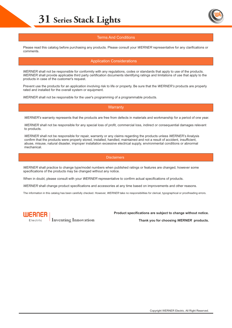

### Terms And Conditions

Please read this catalog before purchasing any products. Please consult your *WERNER* representative for any clarifications or comments.

#### Application Considerations

*WERNER* shall not be responsible for conformity with any regulations, codes or standards that apply to use of the products. *WERNER* shall provide applicable third party certification documents identifying ratings and limitations of use that apply to the products in case of the customer's request.

Prevent use the products for an application involving risk to life or property. Be sure that the *WERNER's* products are properly rated and installed for the overall system or equipment.

*WERNER* shall not be responsible for the user's programming of a programmable products.

**Warranty** 

*WERNER's* warranty represents that the products are free from defects in materials and workmanship for a period of one year.

*WERNER* shall not be responsible for any special loss of profit, commercial loss, indirect or consequential damages relevant to products.

*WERNER* shall not be responsible for repair, warranty or any claims regarding the products unless *WERNER's* Analysis confirm that the products were properly stored, installed, handled, maintained and not a result of accident, insufficient, abuse, misuse, natural disaster, improper installation excessive electrical supply, environmental conditions or abnormal mechanical.

#### **Disclaimers**

*WERNER* shall practice to change type/model numbers when published ratings or features are changed, however some specifications of the products may be changed without any notice.

When in doubt, please consult with your *WERNER* representative to confirm actual specifications of products.

*WERNER* shall change product specifications and accessories at any time based on improvements and other reasons.

The information in this catalog has been carefully checked. However, *WERNER* take no responsibilities for clerical, typographical or proofreading errors.



**Product specifications are subject to change without notice.**

**Example 1** Inventing Innovation *Thank you for choosing WERNER* products.